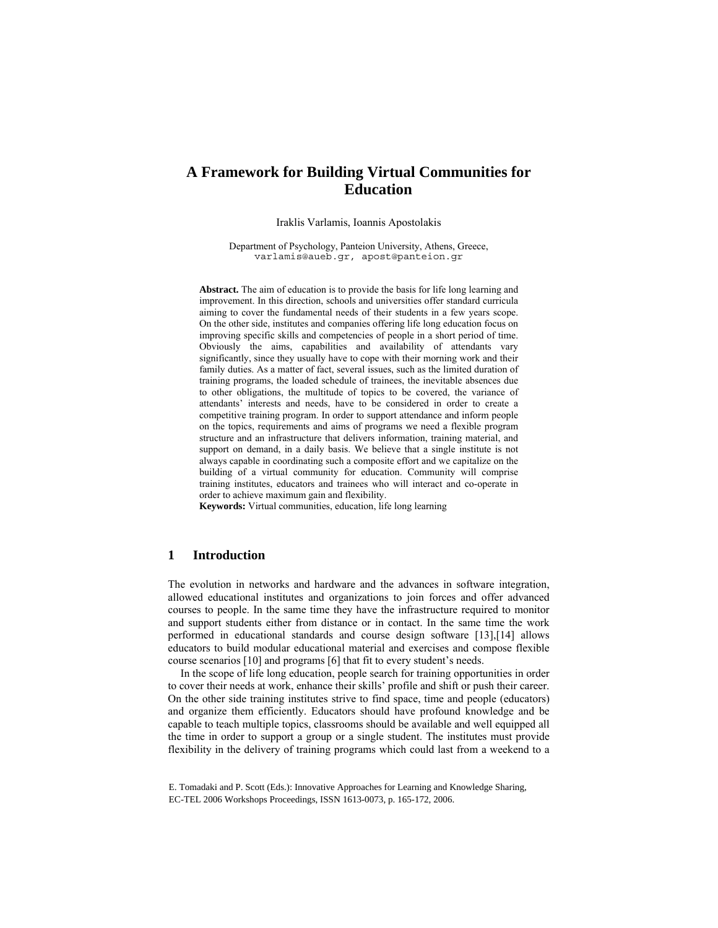# **A Framework for Building Virtual Communities for Education**

Iraklis Varlamis, Ioannis Apostolakis

Department of Psychology, Panteion University, Athens, Greece, varlamis@aueb.gr, apost@panteion.gr

**Abstract.** The aim of education is to provide the basis for life long learning and improvement. In this direction, schools and universities offer standard curricula aiming to cover the fundamental needs of their students in a few years scope. On the other side, institutes and companies offering life long education focus on improving specific skills and competencies of people in a short period of time. Obviously the aims, capabilities and availability of attendants vary significantly, since they usually have to cope with their morning work and their family duties. As a matter of fact, several issues, such as the limited duration of training programs, the loaded schedule of trainees, the inevitable absences due to other obligations, the multitude of topics to be covered, the variance of attendants' interests and needs, have to be considered in order to create a competitive training program. In order to support attendance and inform people on the topics, requirements and aims of programs we need a flexible program structure and an infrastructure that delivers information, training material, and support on demand, in a daily basis. We believe that a single institute is not always capable in coordinating such a composite effort and we capitalize on the building of a virtual community for education. Community will comprise training institutes, educators and trainees who will interact and co-operate in order to achieve maximum gain and flexibility.

**Keywords:** Virtual communities, education, life long learning

### **1 Introduction**

The evolution in networks and hardware and the advances in software integration, allowed educational institutes and organizations to join forces and offer advanced courses to people. In the same time they have the infrastructure required to monitor and support students either from distance or in contact. In the same time the work performed in educational standards and course design software [13],[14] allows educators to build modular educational material and exercises and compose flexible course scenarios [10] and programs [6] that fit to every student's needs.

In the scope of life long education, people search for training opportunities in order to cover their needs at work, enhance their skills' profile and shift or push their career. On the other side training institutes strive to find space, time and people (educators) and organize them efficiently. Educators should have profound knowledge and be capable to teach multiple topics, classrooms should be available and well equipped all the time in order to support a group or a single student. The institutes must provide flexibility in the delivery of training programs which could last from a weekend to a

E. Tomadaki and P. Scott (Eds.): Innovative Approaches for Learning and Knowledge Sharing, EC-TEL 2006 Workshops Proceedings, ISSN 1613-0073, p. 165-172, 2006.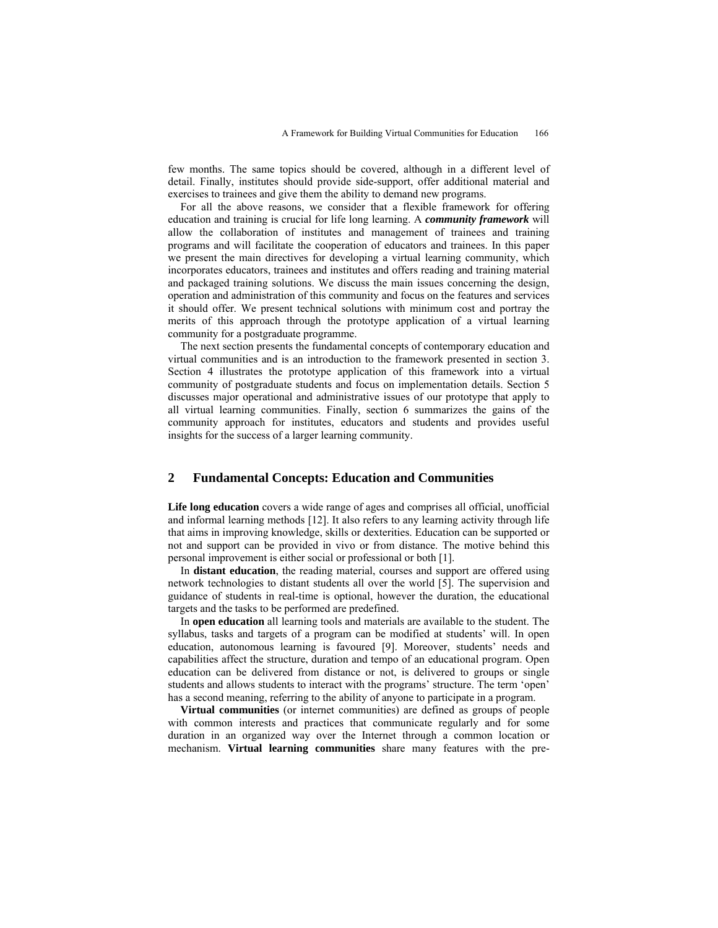few months. The same topics should be covered, although in a different level of detail. Finally, institutes should provide side-support, offer additional material and exercises to trainees and give them the ability to demand new programs.

For all the above reasons, we consider that a flexible framework for offering education and training is crucial for life long learning. A *community framework* will allow the collaboration of institutes and management of trainees and training programs and will facilitate the cooperation of educators and trainees. In this paper we present the main directives for developing a virtual learning community, which incorporates educators, trainees and institutes and offers reading and training material and packaged training solutions. We discuss the main issues concerning the design, operation and administration of this community and focus on the features and services it should offer. We present technical solutions with minimum cost and portray the merits of this approach through the prototype application of a virtual learning community for a postgraduate programme.

The next section presents the fundamental concepts of contemporary education and virtual communities and is an introduction to the framework presented in section 3. Section 4 illustrates the prototype application of this framework into a virtual community of postgraduate students and focus on implementation details. Section 5 discusses major operational and administrative issues of our prototype that apply to all virtual learning communities. Finally, section 6 summarizes the gains of the community approach for institutes, educators and students and provides useful insights for the success of a larger learning community.

# **2 Fundamental Concepts: Education and Communities**

**Life long education** covers a wide range of ages and comprises all official, unofficial and informal learning methods [12]. It also refers to any learning activity through life that aims in improving knowledge, skills or dexterities. Education can be supported or not and support can be provided in vivo or from distance. The motive behind this personal improvement is either social or professional or both [1].

In **distant education**, the reading material, courses and support are offered using network technologies to distant students all over the world [5]. The supervision and guidance of students in real-time is optional, however the duration, the educational targets and the tasks to be performed are predefined.

In **open education** all learning tools and materials are available to the student. The syllabus, tasks and targets of a program can be modified at students' will. In open education, autonomous learning is favoured [9]. Moreover, students' needs and capabilities affect the structure, duration and tempo of an educational program. Open education can be delivered from distance or not, is delivered to groups or single students and allows students to interact with the programs' structure. The term 'open' has a second meaning, referring to the ability of anyone to participate in a program.

**Virtual communities** (or internet communities) are defined as groups of people with common interests and practices that communicate regularly and for some duration in an organized way over the Internet through a common location or mechanism. **Virtual learning communities** share many features with the pre-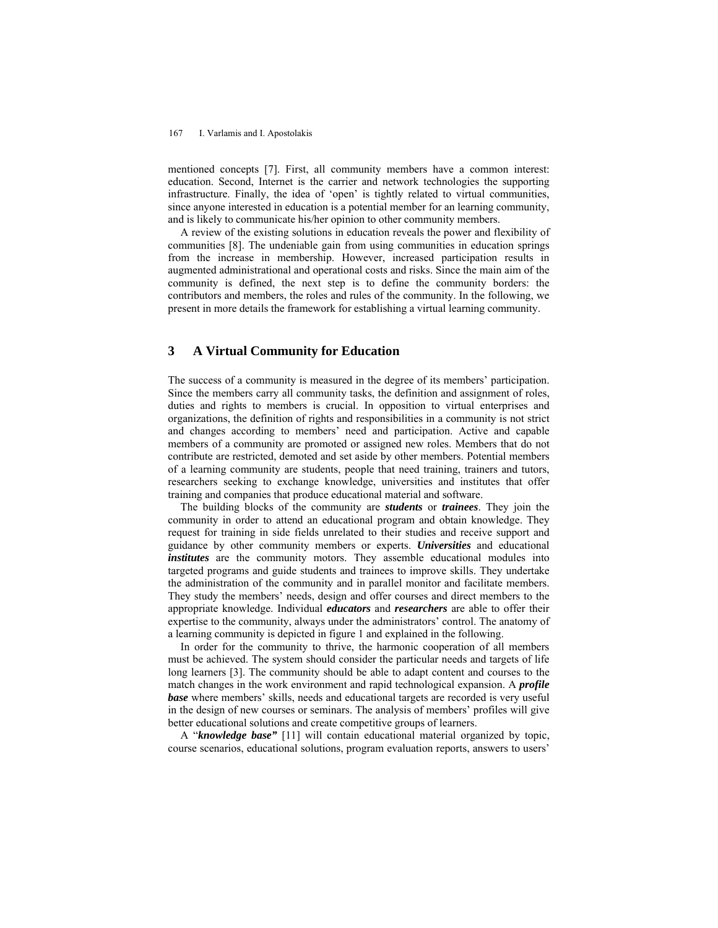#### 167 I. Varlamis and I. Apostolakis

mentioned concepts [7]. First, all community members have a common interest: education. Second, Internet is the carrier and network technologies the supporting infrastructure. Finally, the idea of 'open' is tightly related to virtual communities, since anyone interested in education is a potential member for an learning community, and is likely to communicate his/her opinion to other community members.

A review of the existing solutions in education reveals the power and flexibility of communities [8]. The undeniable gain from using communities in education springs from the increase in membership. However, increased participation results in augmented administrational and operational costs and risks. Since the main aim of the community is defined, the next step is to define the community borders: the contributors and members, the roles and rules of the community. In the following, we present in more details the framework for establishing a virtual learning community.

### **3 A Virtual Community for Education**

The success of a community is measured in the degree of its members' participation. Since the members carry all community tasks, the definition and assignment of roles, duties and rights to members is crucial. In opposition to virtual enterprises and organizations, the definition of rights and responsibilities in a community is not strict and changes according to members' need and participation. Active and capable members of a community are promoted or assigned new roles. Members that do not contribute are restricted, demoted and set aside by other members. Potential members of a learning community are students, people that need training, trainers and tutors, researchers seeking to exchange knowledge, universities and institutes that offer training and companies that produce educational material and software.

The building blocks of the community are *students* or *trainees*. They join the community in order to attend an educational program and obtain knowledge. They request for training in side fields unrelated to their studies and receive support and guidance by other community members or experts. *Universities* and educational *institutes* are the community motors. They assemble educational modules into targeted programs and guide students and trainees to improve skills. They undertake the administration of the community and in parallel monitor and facilitate members. They study the members' needs, design and offer courses and direct members to the appropriate knowledge. Individual *educators* and *researchers* are able to offer their expertise to the community, always under the administrators' control. The anatomy of a learning community is depicted in figure 1 and explained in the following.

In order for the community to thrive, the harmonic cooperation of all members must be achieved. The system should consider the particular needs and targets of life long learners [3]. The community should be able to adapt content and courses to the match changes in the work environment and rapid technological expansion. A *profile base* where members' skills, needs and educational targets are recorded is very useful in the design of new courses or seminars. The analysis of members' profiles will give better educational solutions and create competitive groups of learners.

A "*knowledge base"* [11] will contain educational material organized by topic, course scenarios, educational solutions, program evaluation reports, answers to users'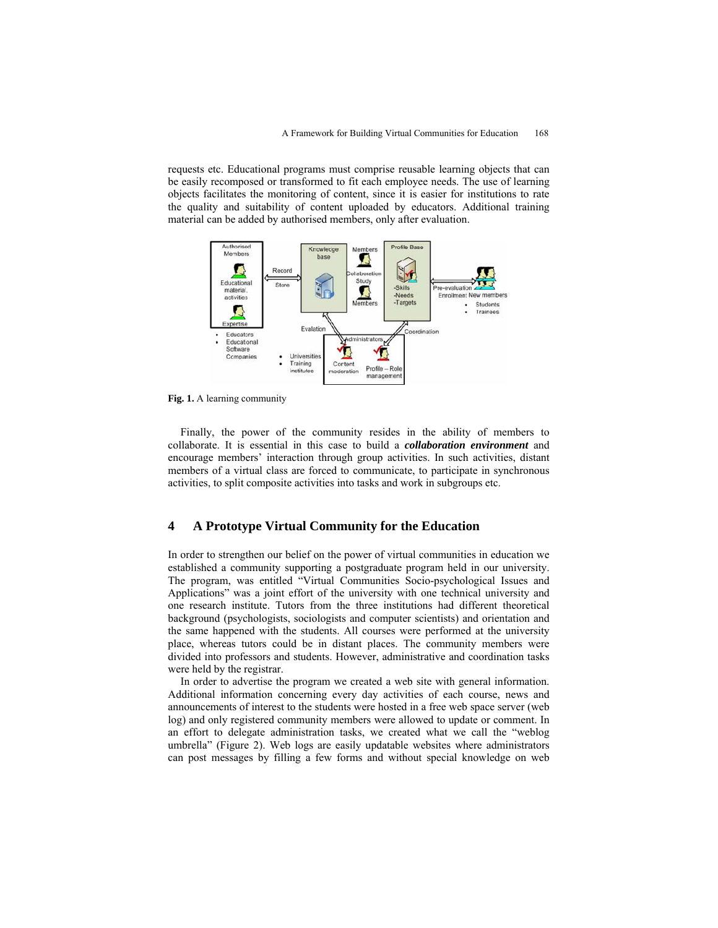requests etc. Educational programs must comprise reusable learning objects that can be easily recomposed or transformed to fit each employee needs. The use of learning objects facilitates the monitoring of content, since it is easier for institutions to rate the quality and suitability of content uploaded by educators. Additional training material can be added by authorised members, only after evaluation.



**Fig. 1.** A learning community

Finally, the power of the community resides in the ability of members to collaborate. It is essential in this case to build a *collaboration environment* and encourage members' interaction through group activities. In such activities, distant members of a virtual class are forced to communicate, to participate in synchronous activities, to split composite activities into tasks and work in subgroups etc.

### **4 A Prototype Virtual Community for the Education**

In order to strengthen our belief on the power of virtual communities in education we established a community supporting a postgraduate program held in our university. The program, was entitled "Virtual Communities Socio-psychological Issues and Applications" was a joint effort of the university with one technical university and one research institute. Tutors from the three institutions had different theoretical background (psychologists, sociologists and computer scientists) and orientation and the same happened with the students. All courses were performed at the university place, whereas tutors could be in distant places. The community members were divided into professors and students. However, administrative and coordination tasks were held by the registrar.

In order to advertise the program we created a web site with general information. Additional information concerning every day activities of each course, news and announcements of interest to the students were hosted in a free web space server (web log) and only registered community members were allowed to update or comment. In an effort to delegate administration tasks, we created what we call the "weblog umbrella" (Figure 2). Web logs are easily updatable websites where administrators can post messages by filling a few forms and without special knowledge on web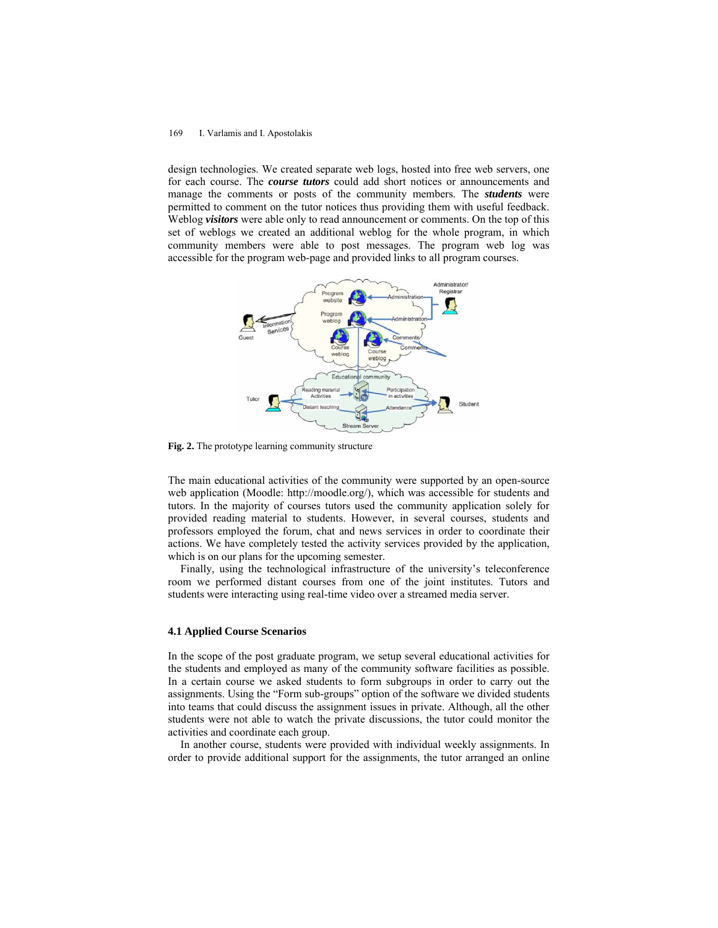#### 169 I. Varlamis and I. Apostolakis

design technologies. We created separate web logs, hosted into free web servers, one for each course. The *course tutors* could add short notices or announcements and manage the comments or posts of the community members. The *students* were permitted to comment on the tutor notices thus providing them with useful feedback. Weblog *visitors* were able only to read announcement or comments. On the top of this set of weblogs we created an additional weblog for the whole program, in which community members were able to post messages. The program web log was accessible for the program web-page and provided links to all program courses.



**Fig. 2.** The prototype learning community structure

The main educational activities of the community were supported by an open-source web application (Moodle: http://moodle.org/), which was accessible for students and tutors. In the majority of courses tutors used the community application solely for provided reading material to students. However, in several courses, students and professors employed the forum, chat and news services in order to coordinate their actions. We have completely tested the activity services provided by the application, which is on our plans for the upcoming semester.

Finally, using the technological infrastructure of the university's teleconference room we performed distant courses from one of the joint institutes. Tutors and students were interacting using real-time video over a streamed media server.

### **4.1 Applied Course Scenarios**

In the scope of the post graduate program, we setup several educational activities for the students and employed as many of the community software facilities as possible. In a certain course we asked students to form subgroups in order to carry out the assignments. Using the "Form sub-groups" option of the software we divided students into teams that could discuss the assignment issues in private. Although, all the other students were not able to watch the private discussions, the tutor could monitor the activities and coordinate each group.

In another course, students were provided with individual weekly assignments. In order to provide additional support for the assignments, the tutor arranged an online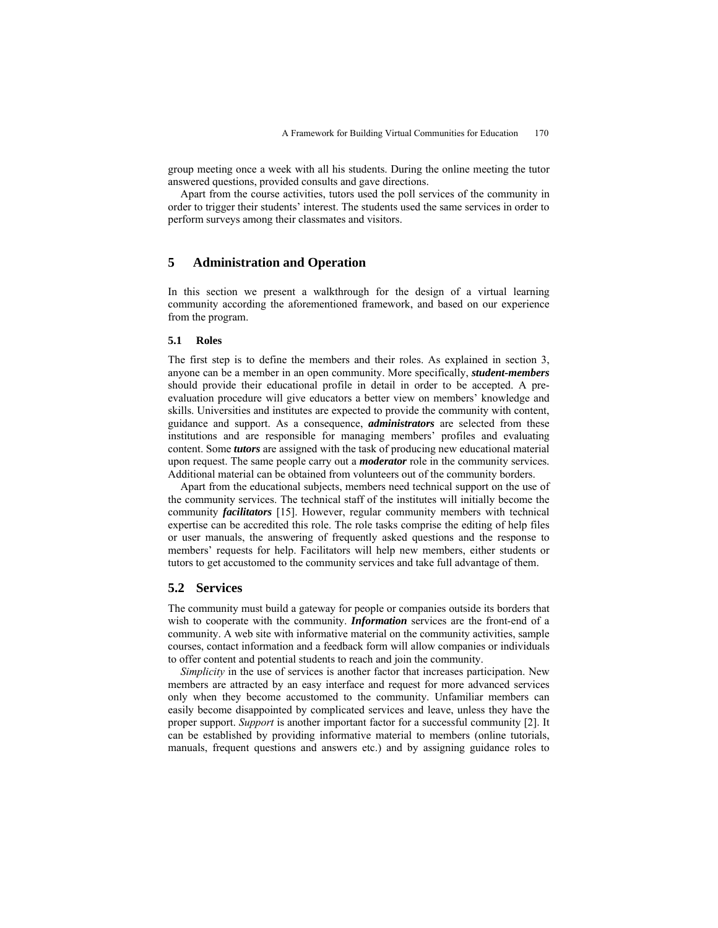group meeting once a week with all his students. During the online meeting the tutor answered questions, provided consults and gave directions.

Apart from the course activities, tutors used the poll services of the community in order to trigger their students' interest. The students used the same services in order to perform surveys among their classmates and visitors.

## **5 Administration and Operation**

In this section we present a walkthrough for the design of a virtual learning community according the aforementioned framework, and based on our experience from the program.

### **5.1 Roles**

The first step is to define the members and their roles. As explained in section 3, anyone can be a member in an open community. More specifically, *student-members* should provide their educational profile in detail in order to be accepted. A preevaluation procedure will give educators a better view on members' knowledge and skills. Universities and institutes are expected to provide the community with content, guidance and support. As a consequence, *administrators* are selected from these institutions and are responsible for managing members' profiles and evaluating content. Some *tutors* are assigned with the task of producing new educational material upon request. The same people carry out a *moderator* role in the community services. Additional material can be obtained from volunteers out of the community borders.

Apart from the educational subjects, members need technical support on the use of the community services. The technical staff of the institutes will initially become the community *facilitators* [15]. However, regular community members with technical expertise can be accredited this role. The role tasks comprise the editing of help files or user manuals, the answering of frequently asked questions and the response to members' requests for help. Facilitators will help new members, either students or tutors to get accustomed to the community services and take full advantage of them.

### **5.2 Services**

The community must build a gateway for people or companies outside its borders that wish to cooperate with the community. *Information* services are the front-end of a community. A web site with informative material on the community activities, sample courses, contact information and a feedback form will allow companies or individuals to offer content and potential students to reach and join the community.

*Simplicity* in the use of services is another factor that increases participation. New members are attracted by an easy interface and request for more advanced services only when they become accustomed to the community. Unfamiliar members can easily become disappointed by complicated services and leave, unless they have the proper support. *Support* is another important factor for a successful community [2]. It can be established by providing informative material to members (online tutorials, manuals, frequent questions and answers etc.) and by assigning guidance roles to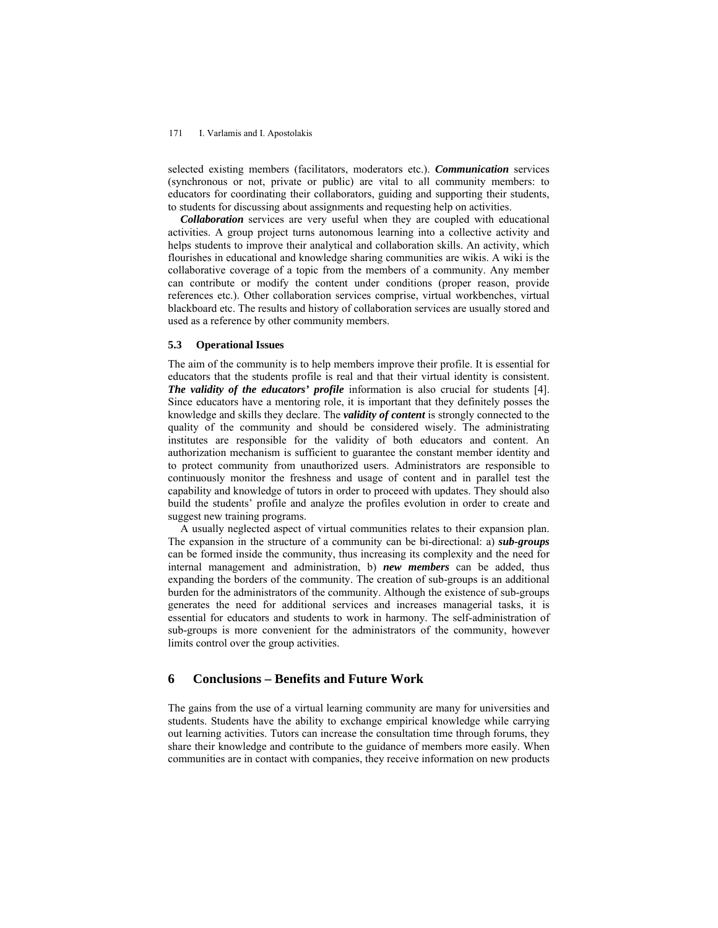#### 171 I. Varlamis and I. Apostolakis

selected existing members (facilitators, moderators etc.). *Communication* services (synchronous or not, private or public) are vital to all community members: to educators for coordinating their collaborators, guiding and supporting their students, to students for discussing about assignments and requesting help on activities.

*Collaboration* services are very useful when they are coupled with educational activities. A group project turns autonomous learning into a collective activity and helps students to improve their analytical and collaboration skills. An activity, which flourishes in educational and knowledge sharing communities are wikis. A wiki is the collaborative coverage of a topic from the members of a community. Any member can contribute or modify the content under conditions (proper reason, provide references etc.). Other collaboration services comprise, virtual workbenches, virtual blackboard etc. The results and history of collaboration services are usually stored and used as a reference by other community members.

#### **5.3 Operational Issues**

The aim of the community is to help members improve their profile. It is essential for educators that the students profile is real and that their virtual identity is consistent. *The validity of the educators' profile* information is also crucial for students [4]. Since educators have a mentoring role, it is important that they definitely posses the knowledge and skills they declare. The *validity of content* is strongly connected to the quality of the community and should be considered wisely. The administrating institutes are responsible for the validity of both educators and content. An authorization mechanism is sufficient to guarantee the constant member identity and to protect community from unauthorized users. Administrators are responsible to continuously monitor the freshness and usage of content and in parallel test the capability and knowledge of tutors in order to proceed with updates. They should also build the students' profile and analyze the profiles evolution in order to create and suggest new training programs.

A usually neglected aspect of virtual communities relates to their expansion plan. The expansion in the structure of a community can be bi-directional: a) *sub-groups* can be formed inside the community, thus increasing its complexity and the need for internal management and administration, b) *new members* can be added, thus expanding the borders of the community. The creation of sub-groups is an additional burden for the administrators of the community. Although the existence of sub-groups generates the need for additional services and increases managerial tasks, it is essential for educators and students to work in harmony. The self-administration of sub-groups is more convenient for the administrators of the community, however limits control over the group activities.

# **6 Conclusions – Benefits and Future Work**

The gains from the use of a virtual learning community are many for universities and students. Students have the ability to exchange empirical knowledge while carrying out learning activities. Tutors can increase the consultation time through forums, they share their knowledge and contribute to the guidance of members more easily. When communities are in contact with companies, they receive information on new products